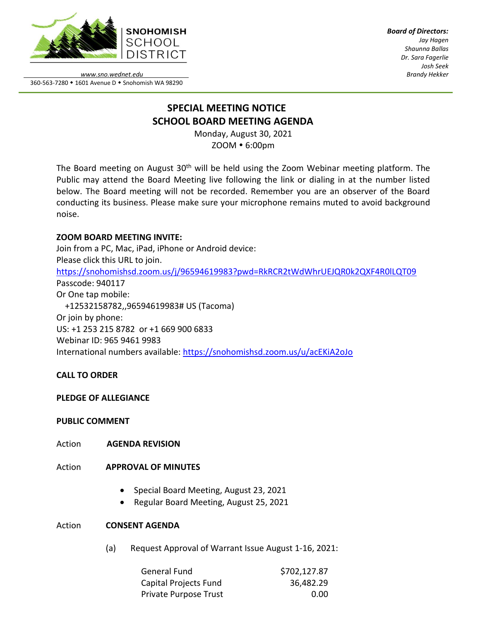

*Board of Directors: Jay Hagen Shaunna Ballas Dr. Sara Fagerlie Josh Seek Brandy Hekker*

*www.sno.wednet.edu* 360-563-7280 • 1601 Avenue D • Snohomish WA 98290

# **SPECIAL MEETING NOTICE SCHOOL BOARD MEETING AGENDA**

Monday, August 30, 2021 ZOOM 6:00pm

The Board meeting on August 30<sup>th</sup> will be held using the Zoom Webinar meeting platform. The Public may attend the Board Meeting live following the link or dialing in at the number listed below. The Board meeting will not be recorded. Remember you are an observer of the Board conducting its business. Please make sure your microphone remains muted to avoid background noise.

## **ZOOM BOARD MEETING INVITE:**

Join from a PC, Mac, iPad, iPhone or Android device: Please click this URL to join. <https://snohomishsd.zoom.us/j/96594619983?pwd=RkRCR2tWdWhrUEJQR0k2QXF4R0lLQT09> Passcode: 940117 Or One tap mobile: +12532158782,,96594619983# US (Tacoma) Or join by phone: US: +1 253 215 8782 or +1 669 900 6833 Webinar ID: 965 9461 9983 International numbers available:<https://snohomishsd.zoom.us/u/acEKiA2oJo>

## **CALL TO ORDER**

## **PLEDGE OF ALLEGIANCE**

## **PUBLIC COMMENT**

Action **AGENDA REVISION**

### Action **APPROVAL OF MINUTES**

- Special Board Meeting, August 23, 2021
- Regular Board Meeting, August 25, 2021

### Action **CONSENT AGENDA**

(a) Request Approval of Warrant Issue August 1-16, 2021:

| General Fund          | \$702,127.87 |
|-----------------------|--------------|
| Capital Projects Fund | 36,482.29    |
| Private Purpose Trust | 0.00         |